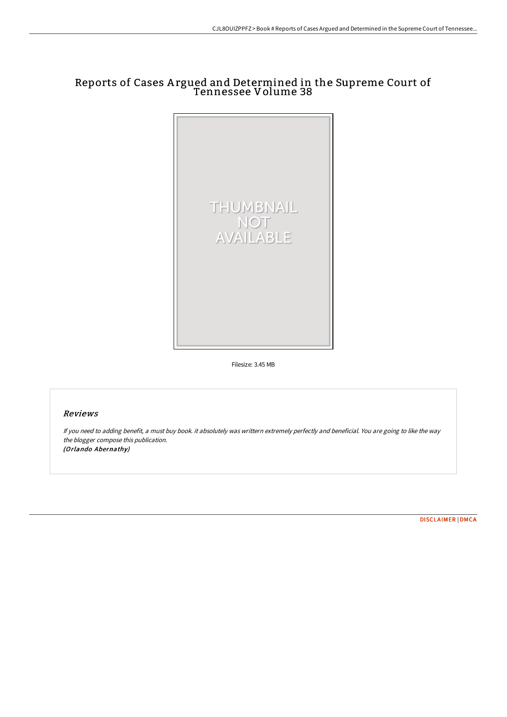# Reports of Cases A rgued and Determined in the Supreme Court of Tennessee Volume 38



Filesize: 3.45 MB

# Reviews

If you need to adding benefit, <sup>a</sup> must buy book. it absolutely was writtern extremely perfectly and beneficial. You are going to like the way the blogger compose this publication. (Orlando Abernathy)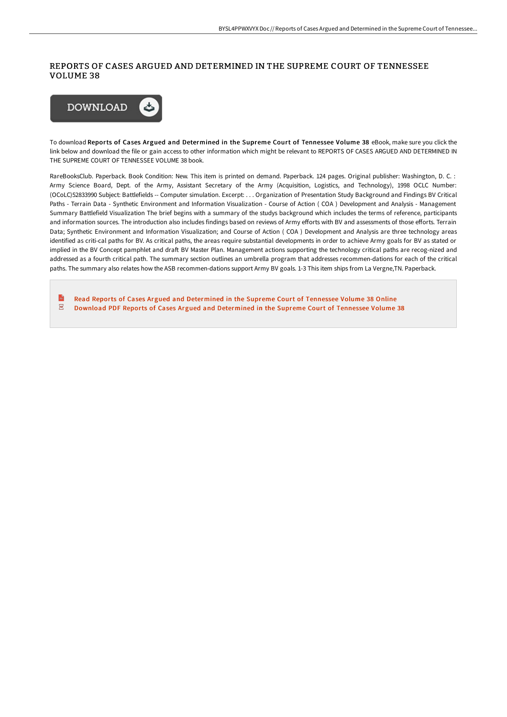## REPORTS OF CASES ARGUED AND DETERMINED IN THE SUPREME COURT OF TENNESSEE VOLUME 38



To download Reports of Cases Argued and Determined in the Supreme Court of Tennessee Volume 38 eBook, make sure you click the link below and download the file or gain access to other information which might be relevant to REPORTS OF CASES ARGUED AND DETERMINED IN THE SUPREME COURT OF TENNESSEE VOLUME 38 book.

RareBooksClub. Paperback. Book Condition: New. This item is printed on demand. Paperback. 124 pages. Original publisher: Washington, D. C. : Army Science Board, Dept. of the Army, Assistant Secretary of the Army (Acquisition, Logistics, and Technology), 1998 OCLC Number: (OCoLC)52833990 Subject: Battlefields -- Computer simulation. Excerpt: . . . Organization of Presentation Study Background and Findings BV Critical Paths - Terrain Data - Synthetic Environment and Information Visualization - Course of Action ( COA ) Development and Analysis - Management Summary Battlefield Visualization The brief begins with a summary of the studys background which includes the terms of reference, participants and information sources. The introduction also includes findings based on reviews of Army efforts with BV and assessments of those efforts. Terrain Data; Synthetic Environment and Information Visualization; and Course of Action ( COA ) Development and Analysis are three technology areas identified as criti-cal paths for BV. As critical paths, the areas require substantial developments in order to achieve Army goals for BV as stated or implied in the BV Concept pamphlet and draft BV Master Plan. Management actions supporting the technology critical paths are recog-nized and addressed as a fourth critical path. The summary section outlines an umbrella program that addresses recommen-dations for each of the critical paths. The summary also relates how the ASB recommen-dations support Army BV goals. 1-3 This item ships from La Vergne,TN. Paperback.

 $\frac{8}{100}$ Read Reports of Cases Argued and [Determined](http://bookera.tech/reports-of-cases-argued-and-determined-in-the-su-17.html) in the Supreme Court of Tennessee Volume 38 Online  $\overline{\mathbf{P}^{\text{RF}}}$ Download PDF Reports of Cases Argued and [Determined](http://bookera.tech/reports-of-cases-argued-and-determined-in-the-su-17.html) in the Supreme Court of Tennessee Volume 38